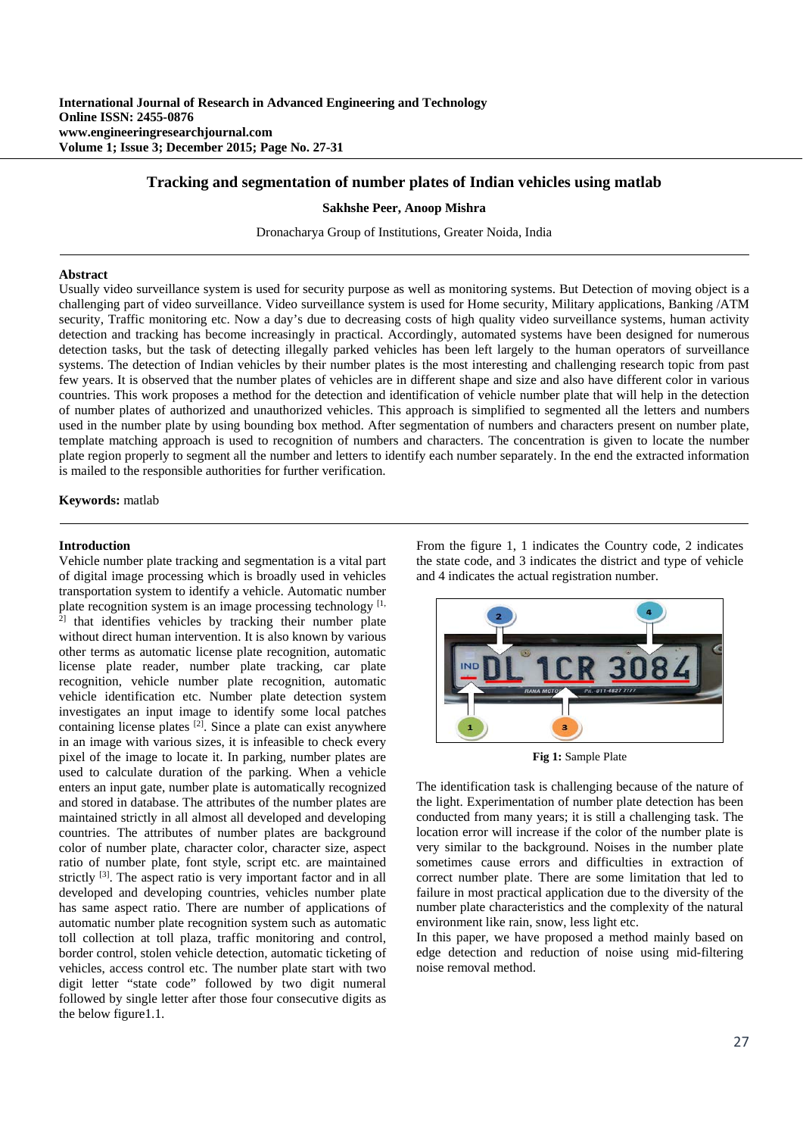## **Tracking and segmentation of number plates of Indian vehicles using matlab**

#### **Sakhshe Peer, Anoop Mishra**

Dronacharya Group of Institutions, Greater Noida, India

#### **Abstract**

Usually video surveillance system is used for security purpose as well as monitoring systems. But Detection of moving object is a challenging part of video surveillance. Video surveillance system is used for Home security, Military applications, Banking /ATM security, Traffic monitoring etc. Now a day's due to decreasing costs of high quality video surveillance systems, human activity detection and tracking has become increasingly in practical. Accordingly, automated systems have been designed for numerous detection tasks, but the task of detecting illegally parked vehicles has been left largely to the human operators of surveillance systems. The detection of Indian vehicles by their number plates is the most interesting and challenging research topic from past few years. It is observed that the number plates of vehicles are in different shape and size and also have different color in various countries. This work proposes a method for the detection and identification of vehicle number plate that will help in the detection of number plates of authorized and unauthorized vehicles. This approach is simplified to segmented all the letters and numbers used in the number plate by using bounding box method. After segmentation of numbers and characters present on number plate, template matching approach is used to recognition of numbers and characters. The concentration is given to locate the number plate region properly to segment all the number and letters to identify each number separately. In the end the extracted information is mailed to the responsible authorities for further verification.

#### **Keywords:** matlab

#### **Introduction**

Vehicle number plate tracking and segmentation is a vital part of digital image processing which is broadly used in vehicles transportation system to identify a vehicle. Automatic number plate recognition system is an image processing technology<sup>[1,]</sup> that identifies vehicles by tracking their number plate without direct human intervention. It is also known by various other terms as automatic license plate recognition, automatic license plate reader, number plate tracking, car plate recognition, vehicle number plate recognition, automatic vehicle identification etc. Number plate detection system investigates an input image to identify some local patches containing license plates  $[2]$ . Since a plate can exist anywhere in an image with various sizes, it is infeasible to check every pixel of the image to locate it. In parking, number plates are used to calculate duration of the parking. When a vehicle enters an input gate, number plate is automatically recognized and stored in database. The attributes of the number plates are maintained strictly in all almost all developed and developing countries. The attributes of number plates are background color of number plate, character color, character size, aspect ratio of number plate, font style, script etc. are maintained strictly <sup>[3]</sup>. The aspect ratio is very important factor and in all developed and developing countries, vehicles number plate has same aspect ratio. There are number of applications of automatic number plate recognition system such as automatic toll collection at toll plaza, traffic monitoring and control, border control, stolen vehicle detection, automatic ticketing of vehicles, access control etc. The number plate start with two digit letter "state code" followed by two digit numeral followed by single letter after those four consecutive digits as the below figure1.1.

From the figure 1, 1 indicates the Country code, 2 indicates the state code, and 3 indicates the district and type of vehicle and 4 indicates the actual registration number.



**Fig 1:** Sample Plate

The identification task is challenging because of the nature of the light. Experimentation of number plate detection has been conducted from many years; it is still a challenging task. The location error will increase if the color of the number plate is very similar to the background. Noises in the number plate sometimes cause errors and difficulties in extraction of correct number plate. There are some limitation that led to failure in most practical application due to the diversity of the number plate characteristics and the complexity of the natural environment like rain, snow, less light etc.

In this paper, we have proposed a method mainly based on edge detection and reduction of noise using mid-filtering noise removal method.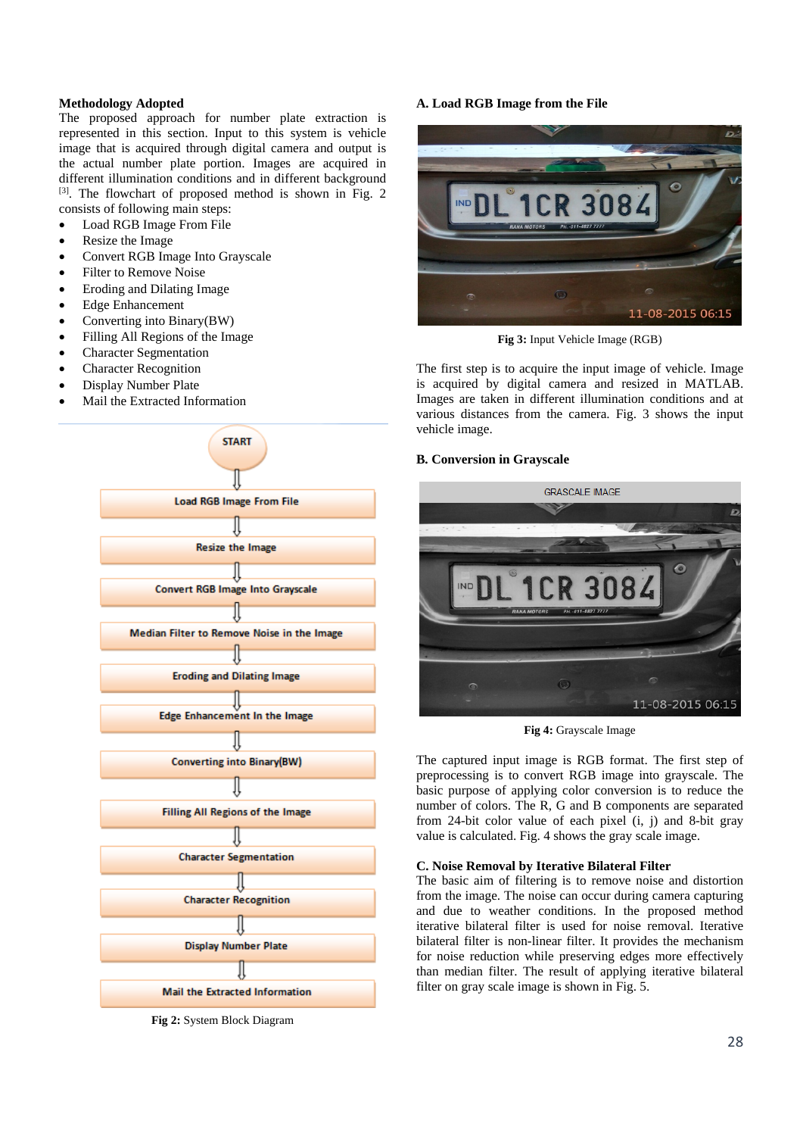## **Methodology Adopted**

The proposed approach for number plate extraction is represented in this section. Input to this system is vehicle image that is acquired through digital camera and output is the actual number plate portion. Images are acquired in different illumination conditions and in different background [3]. The flowchart of proposed method is shown in Fig. 2 consists of following main steps:

- Load RGB Image From File
- Resize the Image
- Convert RGB Image Into Grayscale
- Filter to Remove Noise
- Eroding and Dilating Image
- Edge Enhancement
- Converting into Binary(BW)
- Filling All Regions of the Image
- Character Segmentation
- Character Recognition
- Display Number Plate
- Mail the Extracted Information



**Fig 2:** System Block Diagram

## **A. Load RGB Image from the File**



**Fig 3:** Input Vehicle Image (RGB)

The first step is to acquire the input image of vehicle. Image is acquired by digital camera and resized in MATLAB. Images are taken in different illumination conditions and at various distances from the camera. Fig. 3 shows the input vehicle image.

## **B. Conversion in Grayscale**



**Fig 4:** Grayscale Image

The captured input image is RGB format. The first step of preprocessing is to convert RGB image into grayscale. The basic purpose of applying color conversion is to reduce the number of colors. The R, G and B components are separated from 24-bit color value of each pixel (i, j) and 8-bit gray value is calculated. Fig. 4 shows the gray scale image.

### **C. Noise Removal by Iterative Bilateral Filter**

The basic aim of filtering is to remove noise and distortion from the image. The noise can occur during camera capturing and due to weather conditions. In the proposed method iterative bilateral filter is used for noise removal. Iterative bilateral filter is non-linear filter. It provides the mechanism for noise reduction while preserving edges more effectively than median filter. The result of applying iterative bilateral filter on gray scale image is shown in Fig. 5.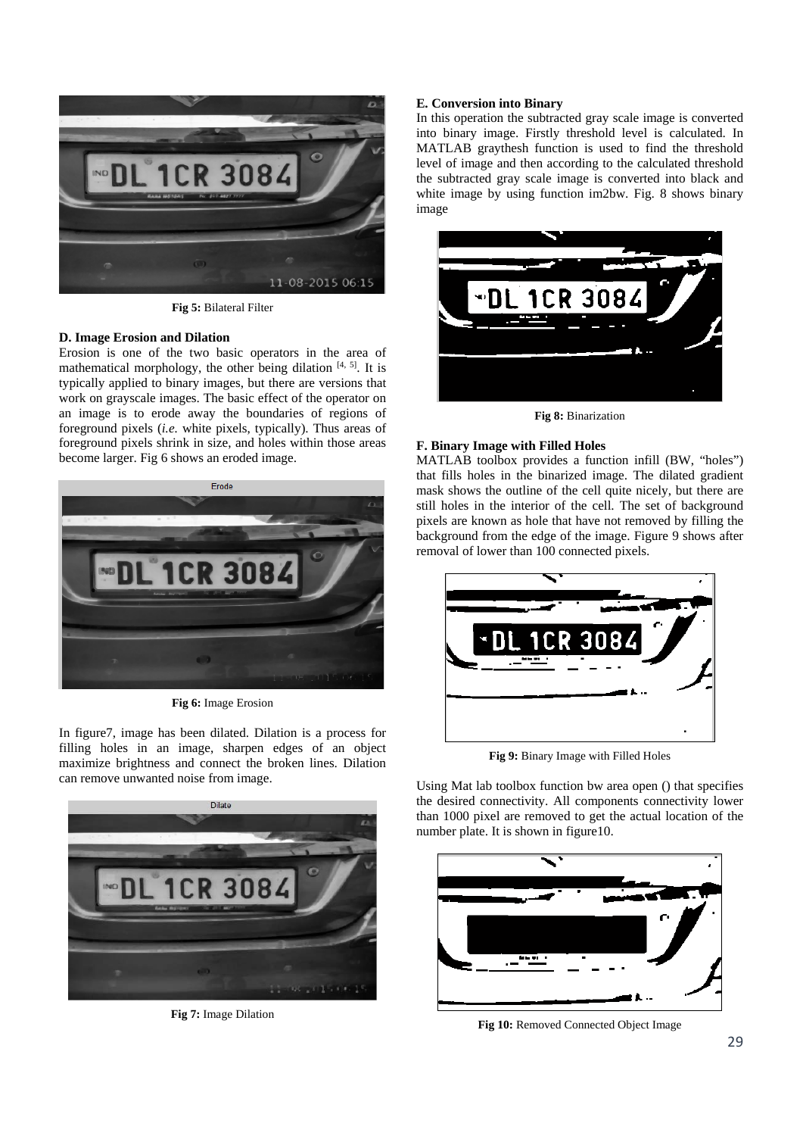

**Fig 5:** Bilateral Filter

## **D. Image Erosion and Dilation**

Erosion is one of the two basic operators in the area of mathematical morphology, the other being dilation  $[4, 5]$ . It is typically applied to binary images, but there are versions that work on grayscale images. The basic effect of the operator on an image is to erode away the boundaries of regions of foreground pixels (*i.e.* white pixels, typically). Thus areas of foreground pixels shrink in size, and holes within those areas become larger. Fig 6 shows an eroded image.



**Fig 6:** Image Erosion

In figure7, image has been dilated. Dilation is a process for filling holes in an image, sharpen edges of an object maximize brightness and connect the broken lines. Dilation can remove unwanted noise from image.



**Fig 7:** Image Dilation

### **E. Conversion into Binary**

In this operation the subtracted gray scale image is converted into binary image. Firstly threshold level is calculated. In MATLAB graythesh function is used to find the threshold level of image and then according to the calculated threshold the subtracted gray scale image is converted into black and white image by using function im2bw. Fig. 8 shows binary image



**Fig 8:** Binarization

### **F. Binary Image with Filled Holes**

MATLAB toolbox provides a function infill (BW, "holes") that fills holes in the binarized image. The dilated gradient mask shows the outline of the cell quite nicely, but there are still holes in the interior of the cell. The set of background pixels are known as hole that have not removed by filling the background from the edge of the image. Figure 9 shows after removal of lower than 100 connected pixels.



**Fig 9:** Binary Image with Filled Holes

Using Mat lab toolbox function bw area open () that specifies the desired connectivity. All components connectivity lower than 1000 pixel are removed to get the actual location of the number plate. It is shown in figure10.



**Fig 10:** Removed Connected Object Image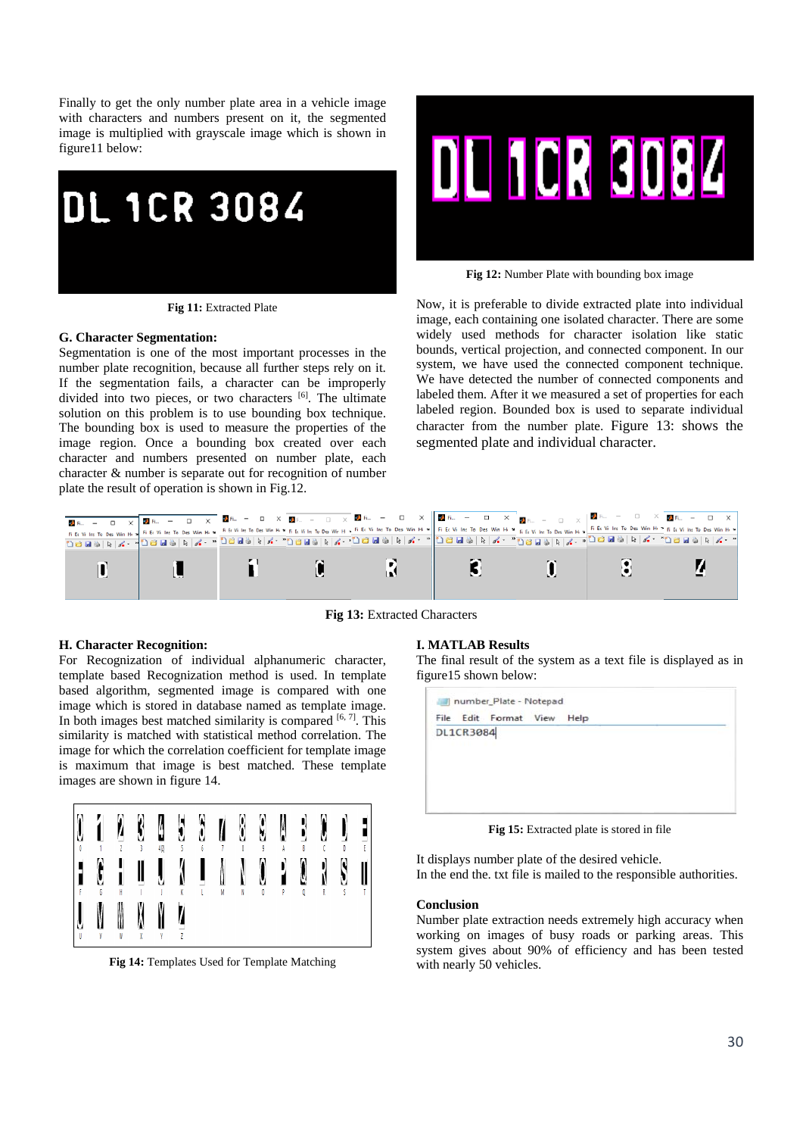Finally to get the only number plate area in a vehicle image with characters and numbers present on it, the segmented image is multiplied with grayscale image which is shown in figure11 below:



**Fig 11:** Extracted Plate

#### **G. Character Segmentation:**

Segmentation is one of the most important processes in the number plate recognition, because all further steps rely on it. If the segmentation fails, a character can be improperly divided into two pieces, or two characters [6]. The ultimate solution on this problem is to use bounding box technique. The bounding box is used to measure the properties of the image region. Once a bounding box created over each character and numbers presented on number plate, each character & number is separate out for recognition of number plate the result of operation is shown in Fig.12.



**Fig 12:** Number Plate with bounding box image

Now, it is preferable to divide extracted plate into individual image, each containing one isolated character. There are some widely used methods for character isolation like static bounds, vertical projection, and connected component. In our system, we have used the connected component technique. We have detected the number of connected components and labeled them. After it we measured a set of properties for each labeled region. Bounded box is used to separate individual character from the number plate. Figure 13: shows the segmented plate and individual character.



**Fig 13:** Extracted Characters

#### **H. Character Recognition:**

For Recognization of individual alphanumeric character, template based Recognization method is used. In template based algorithm, segmented image is compared with one image which is stored in database named as template image. In both images best matched similarity is compared  $[6, 7]$ . This similarity is matched with statistical method correlation. The image for which the correlation coefficient for template image is maximum that image is best matched. These template images are shown in figure 14.



**Fig 14:** Templates Used for Template Matching

## **I. MATLAB Results**

The final result of the system as a text file is displayed as in figure15 shown below:

|           | File Edit Format View | Help |  |
|-----------|-----------------------|------|--|
| DL1CR3084 |                       |      |  |
|           |                       |      |  |
|           |                       |      |  |
|           |                       |      |  |
|           |                       |      |  |
|           |                       |      |  |
|           |                       |      |  |

**Fig 15:** Extracted plate is stored in file

It displays number plate of the desired vehicle. In the end the. txt file is mailed to the responsible authorities.

### **Conclusion**

Number plate extraction needs extremely high accuracy when working on images of busy roads or parking areas. This system gives about 90% of efficiency and has been tested with nearly 50 vehicles.